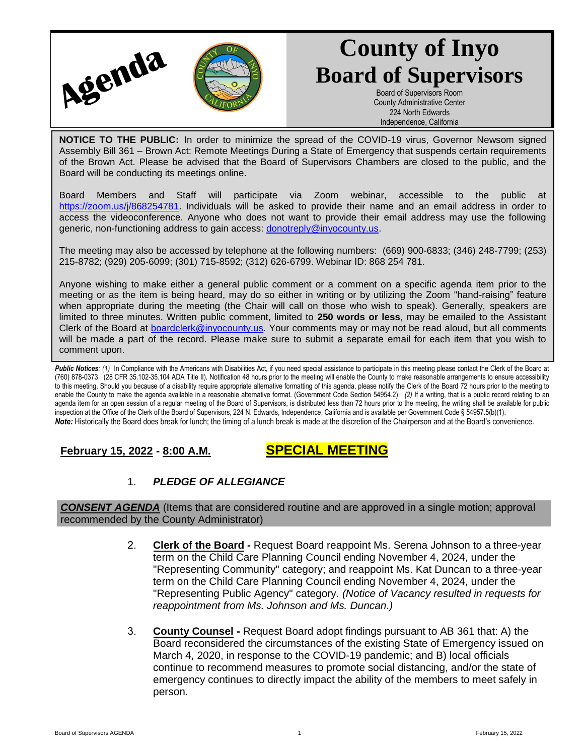

# **County of Inyo Board of Supervisors**

Board of Supervisors Room County Administrative Center 224 North Edwards Independence, California

**NOTICE TO THE PUBLIC:** In order to minimize the spread of the COVID-19 virus, Governor Newsom signed Assembly Bill 361 – Brown Act: Remote Meetings During a State of Emergency that suspends certain requirements of the Brown Act. Please be advised that the Board of Supervisors Chambers are closed to the public, and the Board will be conducting its meetings online.

Board Members and Staff will participate via Zoom webinar, accessible to the public at [https://zoom.us/j/868254781.](https://zoom.us/j/868254781) Individuals will be asked to provide their name and an email address in order to access the videoconference. Anyone who does not want to provide their email address may use the following generic, non-functioning address to gain access: [donotreply@inyocounty.us.](mailto:donotreply@inyocounty.us)

The meeting may also be accessed by telephone at the following numbers: (669) 900-6833; (346) 248-7799; (253) 215-8782; (929) 205-6099; (301) 715-8592; (312) 626-6799. Webinar ID: 868 254 781.

Anyone wishing to make either a general public comment or a comment on a specific agenda item prior to the meeting or as the item is being heard, may do so either in writing or by utilizing the Zoom "hand-raising" feature when appropriate during the meeting (the Chair will call on those who wish to speak). Generally, speakers are limited to three minutes. Written public comment, limited to **250 words or less**, may be emailed to the Assistant Clerk of the Board at [boardclerk@inyocounty.us.](mailto:boardclerk@inyocounty.us) Your comments may or may not be read aloud, but all comments will be made a part of the record. Please make sure to submit a separate email for each item that you wish to comment upon.

Public Notices: (1) In Compliance with the Americans with Disabilities Act, if you need special assistance to participate in this meeting please contact the Clerk of the Board at (760) 878-0373. (28 CFR 35.102-35.104 ADA Title II). Notification 48 hours prior to the meeting will enable the County to make reasonable arrangements to ensure accessibility to this meeting. Should you because of a disability require appropriate alternative formatting of this agenda, please notify the Clerk of the Board 72 hours prior to the meeting to enable the County to make the agenda available in a reasonable alternative format. (Government Code Section 54954.2). *(2)* If a writing, that is a public record relating to an agenda item for an open session of a regular meeting of the Board of Supervisors, is distributed less than 72 hours prior to the meeting, the writing shall be available for public inspection at the Office of the Clerk of the Board of Supervisors, 224 N. Edwards, Independence, California and is available per Government Code § 54957.5(b)(1). *Note:* Historically the Board does break for lunch; the timing of a lunch break is made at the discretion of the Chairperson and at the Board's convenience.

# **February 15, 2022 - 8:00 A.M. SPECIAL MEETING**

# 1. *PLEDGE OF ALLEGIANCE*

*CONSENT AGENDA* (Items that are considered routine and are approved in a single motion; approval recommended by the County Administrator)

- 2. **Clerk of the Board -** Request Board reappoint Ms. Serena Johnson to a three-year term on the Child Care Planning Council ending November 4, 2024, under the "Representing Community" category; and reappoint Ms. Kat Duncan to a three-year term on the Child Care Planning Council ending November 4, 2024, under the "Representing Public Agency" category. *(Notice of Vacancy resulted in requests for reappointment from Ms. Johnson and Ms. Duncan.)*
- 3. **County Counsel -** Request Board adopt findings pursuant to AB 361 that: A) the Board reconsidered the circumstances of the existing State of Emergency issued on March 4, 2020, in response to the COVID-19 pandemic; and B) local officials continue to recommend measures to promote social distancing, and/or the state of emergency continues to directly impact the ability of the members to meet safely in person.